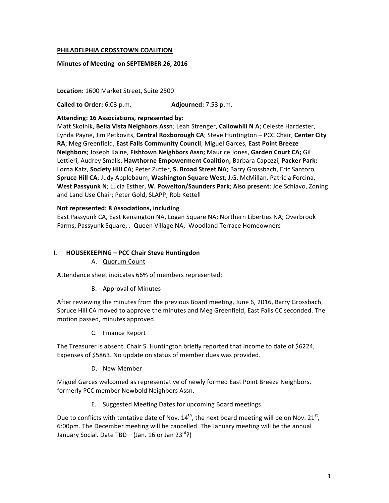#### **PHILADELPHIA CROSSTOWN COALITION**

#### **Minutes of Meeting on SEPTEMBER 26, 2016**

Location: 1600 Market Street, Suite 2500

**Called to Order:** 6:03 p.m. **Adjourned:** 7:53 p.m.

#### Attending: 16 Associations, represented by:

Matt Skolnik, Bella Vista Neighbors Assn; Leah Strenger, Callowhill N A; Celeste Hardester, Lynda Payne, Jim Petkovits, Central Roxborough CA; Steve Huntington - PCC Chair, Center City RA; Meg Greenfield, East Falls Community Council; Miguel Garces, East Point Breeze **Neighbors**; Joseph Kaine, Fishtown Neighbors Assn; Maurice Jones, Garden Court CA; Gil Lettieri, Audrey Smalls, Hawthorne Empowerment Coalition; Barbara Capozzi, Packer Park; Lorna Katz, Society Hill CA; Peter Zutter, S. Broad Street NA; Barry Grossbach, Eric Santoro, Spruce Hill CA; Judy Applebaum, Washington Square West; J.G. McMillan, Patricia Forcina, West Passyunk N; Lucia Esther, W. Powelton/Saunders Park; Also present: Joe Schiavo, Zoning and Land Use Chair; Peter Gold, SLAPP; Rob Kettell

#### **Not represented: 8 Associations, including**

East Passyunk CA, East Kensington NA, Logan Square NA; Northern Liberties NA; Overbrook Farms; Passyunk Square; : Queen Village NA; Woodland Terrace Homeowners

#### **I. HOUSEKEEPING – PCC Chair Steve Huntingdon**

A. Quorum Count

Attendance sheet indicates 66% of members represented;

B. Approval of Minutes

After reviewing the minutes from the previous Board meeting, June 6, 2016, Barry Grossbach, Spruce Hill CA moved to approve the minutes and Meg Greenfield, East Falls CC seconded. The motion passed, minutes approved.

C. Finance Report

The Treasurer is absent. Chair S. Huntington briefly reported that Income to date of \$6224, Expenses of \$5863. No update on status of member dues was provided.

D. New Member

Miguel Garces welcomed as representative of newly formed East Point Breeze Neighbors, formerly PCC member Newbold Neighbors Assn.

E. Suggested Meeting Dates for upcoming Board meetings

Due to conflicts with tentative date of Nov.  $14^{th}$ , the next board meeting will be on Nov. 21st, 6:00pm. The December meeting will be cancelled. The January meeting will be the annual January Social. Date TBD – (Jan. 16 or Jan 23<sup>rd</sup>?)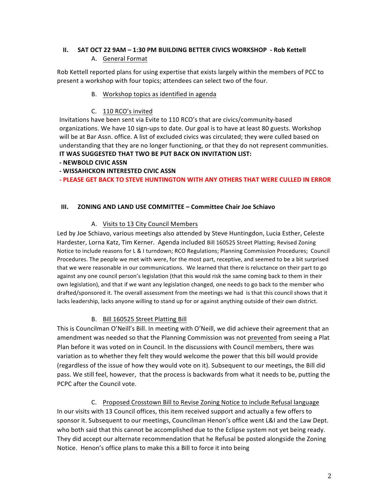## **II.** SAT OCT 22 9AM – 1:30 PM BUILDING BETTER CIVICS WORKSHOP - Rob Kettell A. General Format

Rob Kettell reported plans for using expertise that exists largely within the members of PCC to present a workshop with four topics; attendees can select two of the four.

### B. Workshop topics as identified in agenda

### C. 110 RCO's invited

Invitations have been sent via Evite to 110 RCO's that are civics/community-based organizations. We have 10 sign-ups to date. Our goal is to have at least 80 guests. Workshop will be at Bar Assn. office. A list of excluded civics was circulated; they were culled based on understanding that they are no longer functioning, or that they do not represent communities. **IT WAS SUGGESTED THAT TWO BE PUT BACK ON INVITATION LIST:** 

### **- NEWBOLD CIVIC ASSN**

**- WISSAHICKON INTERESTED CIVIC ASSN**

### **- PLEASE GET BACK TO STEVE HUNTINGTON WITH ANY OTHERS THAT WERE CULLED IN ERROR**

### **III. ZONING AND LAND USE COMMITTEE – Committee Chair Joe Schiavo**

### A. Visits to 13 City Council Members

Led by Joe Schiavo, various meetings also attended by Steve Huntingdon, Lucia Esther, Celeste Hardester, Lorna Katz, Tim Kerner. Agenda included Bill 160525 Street Platting; Revised Zoning Notice to include reasons for L & I turndown; RCO Regulations; Planning Commission Procedures; Council Procedures. The people we met with were, for the most part, receptive, and seemed to be a bit surprised that we were reasonable in our communications. We learned that there is reluctance on their part to go against any one council person's legislation (that this would risk the same coming back to them in their own legislation), and that if we want any legislation changed, one needs to go back to the member who drafted/sponsored it. The overall assessment from the meetings we had is that this council shows that it lacks leadership, lacks anyone willing to stand up for or against anything outside of their own district.

### B. Bill 160525 Street Platting Bill

This is Councilman O'Neill's Bill. In meeting with O'Neill, we did achieve their agreement that an amendment was needed so that the Planning Commission was not prevented from seeing a Plat Plan before it was voted on in Council. In the discussions with Council members, there was variation as to whether they felt they would welcome the power that this bill would provide (regardless of the issue of how they would vote on it). Subsequent to our meetings, the Bill did pass. We still feel, however, that the process is backwards from what it needs to be, putting the PCPC after the Council vote.

C. Proposed Crosstown Bill to Revise Zoning Notice to include Refusal language In our visits with 13 Council offices, this item received support and actually a few offers to sponsor it. Subsequent to our meetings, Councilman Henon's office went L&I and the Law Dept. who both said that this cannot be accomplished due to the Eclipse system not yet being ready. They did accept our alternate recommendation that he Refusal be posted alongside the Zoning Notice. Henon's office plans to make this a Bill to force it into being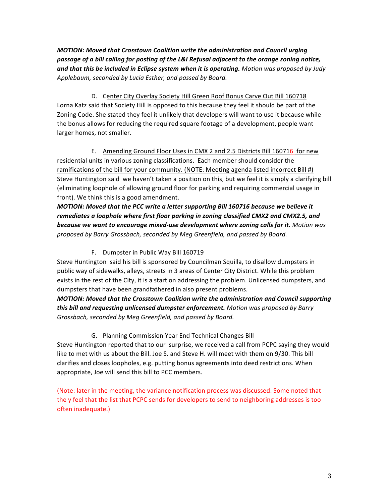*MOTION: Moved that Crosstown Coalition write the administration and Council urging* passage of a bill calling for posting of the L&I Refusal adjacent to the orange zoning notice, **and that this be included in Eclipse system when it is operating.** Motion was proposed by Judy Applebaum, seconded by Lucia Esther, and passed by Board.

D. Center City Overlay Society Hill Green Roof Bonus Carve Out Bill 160718 Lorna Katz said that Society Hill is opposed to this because they feel it should be part of the Zoning Code. She stated they feel it unlikely that developers will want to use it because while the bonus allows for reducing the required square footage of a development, people want larger homes, not smaller.

E. Amending Ground Floor Uses in CMX 2 and 2.5 Districts Bill 160716 for new residential units in various zoning classifications. Each member should consider the ramifications of the bill for your community. (NOTE: Meeting agenda listed incorrect Bill #) Steve Huntington said we haven't taken a position on this, but we feel it is simply a clarifying bill (eliminating loophole of allowing ground floor for parking and requiring commercial usage in front). We think this is a good amendment.

MOTION: Moved that the PCC write a letter supporting Bill 160716 because we believe it remediates a loophole where first floor parking in zoning classified CMX2 and CMX2.5, and **because** we want to encourage mixed-use development where zoning calls for it. Motion was proposed by Barry Grossbach, seconded by Meg Greenfield, and passed by Board.

## F. Dumpster in Public Way Bill 160719

Steve Huntington said his bill is sponsored by Councilman Squilla, to disallow dumpsters in public way of sidewalks, alleys, streets in 3 areas of Center City District. While this problem exists in the rest of the City, it is a start on addressing the problem. Unlicensed dumpsters, and dumpsters that have been grandfathered in also present problems.

**MOTION: Moved that the Crosstown Coalition write the administration and Council supporting this bill and requesting unlicensed dumpster enforcement.** Motion was proposed by Barry Grossbach, seconded by Meg Greenfield, and passed by Board.

## G. Planning Commission Year End Technical Changes Bill

Steve Huntington reported that to our surprise, we received a call from PCPC saying they would like to met with us about the Bill. Joe S. and Steve H. will meet with them on 9/30. This bill clarifies and closes loopholes, e.g. putting bonus agreements into deed restrictions. When appropriate, Joe will send this bill to PCC members.

(Note: later in the meeting, the variance notification process was discussed. Some noted that the y feel that the list that PCPC sends for developers to send to neighboring addresses is too often inadequate.)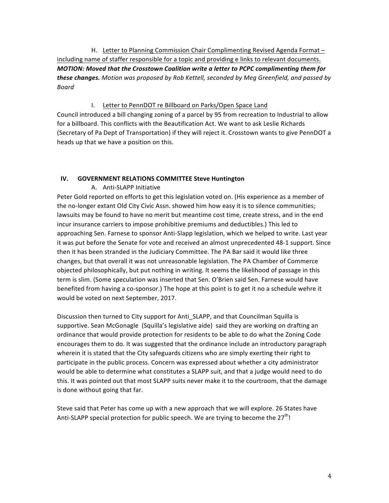H. Letter to Planning Commission Chair Complimenting Revised Agenda Format including name of staffer responsible for a topic and providing e links to relevant documents. *MOTION: Moved that the Crosstown Coalition write a letter to PCPC complimenting them for*  **these changes.** Motion was proposed by Rob Kettell, seconded by Meg Greenfield, and passed by *Board*

### I. Letter to PennDOT re Billboard on Parks/Open Space Land

Council introduced a bill changing zoning of a parcel by 95 from recreation to Industrial to allow for a billboard. This conflicts with the Beautification Act. We want to ask Leslie Richards (Secretary of Pa Dept of Transportation) if they will reject it. Crosstown wants to give PennDOT a heads up that we have a position on this.

### **IV. GOVERNMENT RELATIONS COMMITTEE Steve Huntington**

### A. Anti-SLAPP Initiative

Peter Gold reported on efforts to get this legislation voted on. (His experience as a member of the no-longer extant Old City Civic Assn. showed him how easy it is to silence communities; lawsuits may be found to have no merit but meantime cost time, create stress, and in the end incur insurance carriers to impose prohibitive premiums and deductibles.) This led to approaching Sen. Farnese to sponsor Anti-Slapp legislation, which we helped to write. Last year it was put before the Senate for vote and received an almost unprecedented 48-1 support. Since then it has been stranded in the Judiciary Committee. The PA Bar said it would like three changes, but that overall it was not unreasonable legislation. The PA Chamber of Commerce objected philosophically, but put nothing in writing. It seems the likelihood of passage in this term is slim. (Some speculation was inserted that Sen. O'Brien said Sen. Farnese would have benefited from having a co-sponsor.) The hope at this point is to get it no a schedule wehre it would be voted on next September, 2017.

Discussion then turned to City support for Anti SLAPP, and that Councilman Squilla is supportive. Sean McGonagle (Squilla's legislative aide) said they are working on drafting an ordinance that would provide protection for residents to be able to do what the Zoning Code encourages them to do. It was suggested that the ordinance include an introductory paragraph wherein it is stated that the City safeguards citizens who are simply exerting their right to participate in the public process. Concern was expressed about whether a city administrator would be able to determine what constitutes a SLAPP suit, and that a judge would need to do this. It was pointed out that most SLAPP suits never make it to the courtroom, that the damage is done without going that far.

Steve said that Peter has come up with a new approach that we will explore. 26 States have Anti-SLAPP special protection for public speech. We are trying to become the  $27<sup>th</sup>$ !